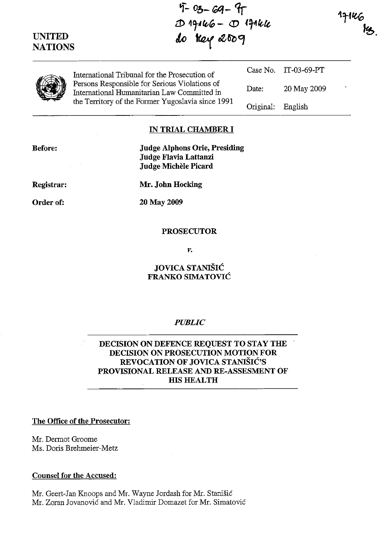# UNITED

 $4 - 03 - 69 - 97$ LJ) <sup>4</sup>'t-, *te-"* - <D *{!f1Ie-lt,*  UNITED do key 2009

17146



International Tribunal for the Prosecution of Persons Responsible for Serious Violations of International Humanitarian Law Committed in the Territory of the Fonner Yugoslavia since 1991

Case No. IT-03-69-PT Date: 20 May 2009 Original: English

### IN TRIAL CHAMBER I

Before:

Registrar:

Order of:

Judge Alphons Orie, Presiding Judge Flavia Lattanzi Judge Michele Picard

Mr. John Hocking

20 May 2009

#### PROSECUTOR

*v.* 

## JOVICA STANIŠIĆ FRANKO SIMATOVIĆ

## *PUBLIC*

DECISION ON DEFENCE REQUEST TO STAY THE DECISION ON PROSECUTION MOTION FOR REVOCATION OF JOVICA STANIŠIĆ'S PROVISIONAL RELEASE AND RE-ASSESMENT OF **HIS HEALTH** 

## The Office of the Prosecutor:

Mr. Dermot Groome Ms. Doris Brehmeier-Metz

### Counsel for the Accused:

Mr. Geert-Jan Knoops and Mr. Wayne Jordash for Mr. Stanišić Mr. Zoran Jovanović and Mr. Vladimir Domazet for Mr. Simatović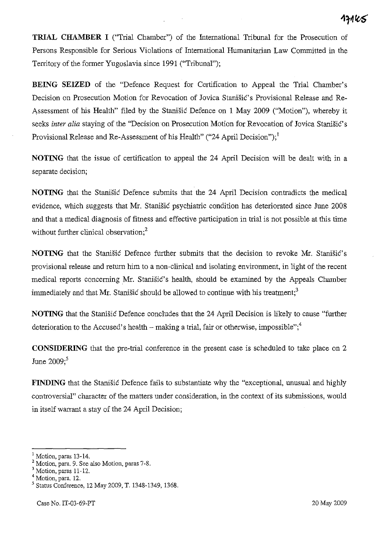**TRIAL CHAMBER I** ("Trial Chamber") of the International Tribunal for the Prosecution of Persons Responsible for Serious Violations of International Humanitarian Law Committed in the Territory of the former Yugoslavia since 1991 ("Tribunal");

**BEING SEIZED** of the "Defence Request for Certification to Appeal the Trial Chamber's Decision on Prosecution Motion for Revocation of Jovica Stanišić's Provisional Release and Re-Assessment of his Health" filed by the Stanišić Defence on l May *2009* ("Motion"), whereby it seeks *inter alia* staying of the "Decision on Prosecution Motion for Revocation of Jovica Stanišić's Provisional Release and Re-Assessment of his Health" ("24 April Decision");<sup>1</sup>

**NOTING** that the issue of certification to appeal the 24 April Decision will be dealt with in a separate decision;

**NOTING** that the Stanišić Defence submits that the 24 April Decision contradicts the medical evidence, which suggests that Mr. Stanišić psychiatric condition has deteriorated since June *2008*  and that a medical diagnosis of fitness and effective participation in trial is not possible at this time without further clinical observation;<sup>2</sup>

**NOTING** that the Stanišić Defence further submits that the decision to revoke Mr. Stanišić's provisional release and return him to a non-clinical and isolating environment, in light of the recent medical reports concerning Mr. Stanišić's health, should be examined by the Appeals Chamber immediately and that Mr. Stanišić should be allowed to continue with his treatment;<sup>3</sup>

**NOTING** that the Stanišić Defence concludes that the 24 April Decision is likely to cause "further deterioration to the Accused's health  $-$  making a trial, fair or otherwise, impossible";<sup>4</sup>

**CONSIDERING** that the pre-trial conference in the present case is scheduled to take place on 2 June *2009;5* 

**FINDING** that the Stanišić Defence fails to substantiate why the "exceptional, unusual and highly controversial" character of the matters under consideration, in the context of its submissions, would in itself warrant a stay of the 24 April Decision;

<sup>l</sup>Motion, paras 13-14.

<sup>2</sup> Motion, para. 9. See also Motion, paras 7-8.

 $3$  Motion, paras 11-12.

<sup>4</sup> Motion, para. 12.

<sup>5</sup> Status Conference, 12 May 2009, T. 1348-1349, 1368.